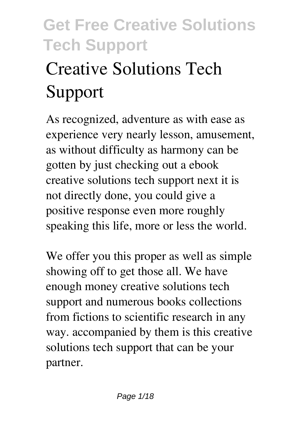# **Creative Solutions Tech Support**

As recognized, adventure as with ease as experience very nearly lesson, amusement, as without difficulty as harmony can be gotten by just checking out a ebook **creative solutions tech support** next it is not directly done, you could give a positive response even more roughly speaking this life, more or less the world.

We offer you this proper as well as simple showing off to get those all. We have enough money creative solutions tech support and numerous books collections from fictions to scientific research in any way. accompanied by them is this creative solutions tech support that can be your partner.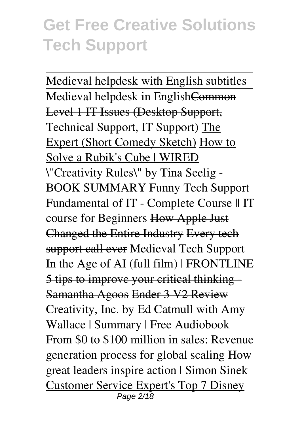Medieval helpdesk with English subtitles Medieval helpdesk in EnglishCommon Level 1 IT Issues (Desktop Support, Technical Support, IT Support) The Expert (Short Comedy Sketch) How to Solve a Rubik's Cube | WIRED *\"Creativity Rules\" by Tina Seelig - BOOK SUMMARY Funny Tech Support* **Fundamental of IT - Complete Course || IT course for Beginners** How Apple Just Changed the Entire Industry Every tech support call ever **Medieval Tech Support In the Age of AI (full film) | FRONTLINE** 5 tips to improve your critical thinking - Samantha Agoos Ender 3 V2 Review *Creativity, Inc. by Ed Catmull with Amy Wallace | Summary | Free Audiobook* From \$0 to \$100 million in sales: Revenue generation process for global scaling **How great leaders inspire action | Simon Sinek** Customer Service Expert's Top 7 Disney Page 2/18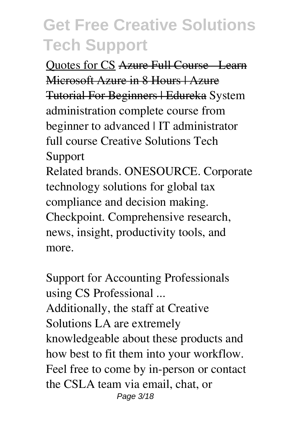Quotes for CS Azure Full Course Learn Microsoft Azure in 8 Hours | Azure Tutorial For Beginners | Edureka **System administration complete course from beginner to advanced | IT administrator full course** *Creative Solutions Tech Support* Related brands. ONESOURCE. Corporate technology solutions for global tax compliance and decision making. Checkpoint. Comprehensive research,

news, insight, productivity tools, and more.

*Support for Accounting Professionals using CS Professional ...* Additionally, the staff at Creative Solutions LA are extremely knowledgeable about these products and how best to fit them into your workflow. Feel free to come by in-person or contact the CSLA team via email, chat, or Page 3/18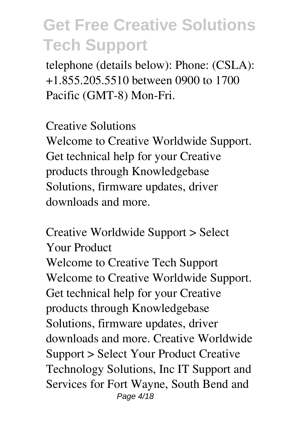telephone (details below): Phone: (CSLA): +1.855.205.5510 between 0900 to 1700 Pacific (GMT-8) Mon-Fri.

*Creative Solutions*

Welcome to Creative Worldwide Support. Get technical help for your Creative products through Knowledgebase Solutions, firmware updates, driver downloads and more.

*Creative Worldwide Support > Select Your Product* Welcome to Creative Tech Support Welcome to Creative Worldwide Support. Get technical help for your Creative products through Knowledgebase Solutions, firmware updates, driver downloads and more. Creative Worldwide Support > Select Your Product Creative Technology Solutions, Inc IT Support and Services for Fort Wayne, South Bend and Page 4/18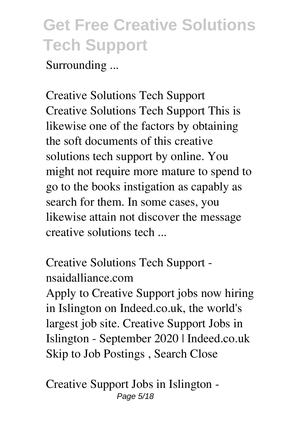Surrounding ...

*Creative Solutions Tech Support* Creative Solutions Tech Support This is likewise one of the factors by obtaining the soft documents of this creative solutions tech support by online. You might not require more mature to spend to go to the books instigation as capably as search for them. In some cases, you likewise attain not discover the message creative solutions tech ...

*Creative Solutions Tech Support nsaidalliance.com*

Apply to Creative Support jobs now hiring in Islington on Indeed.co.uk, the world's largest job site. Creative Support Jobs in Islington - September 2020 | Indeed.co.uk Skip to Job Postings , Search Close

*Creative Support Jobs in Islington -* Page 5/18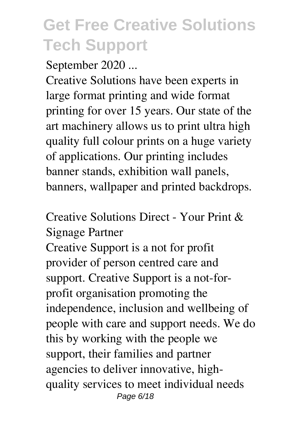*September 2020 ...*

Creative Solutions have been experts in large format printing and wide format printing for over 15 years. Our state of the art machinery allows us to print ultra high quality full colour prints on a huge variety of applications. Our printing includes banner stands, exhibition wall panels, banners, wallpaper and printed backdrops.

*Creative Solutions Direct - Your Print & Signage Partner*

Creative Support is a not for profit provider of person centred care and support. Creative Support is a not-forprofit organisation promoting the independence, inclusion and wellbeing of people with care and support needs. We do this by working with the people we support, their families and partner agencies to deliver innovative, highquality services to meet individual needs Page 6/18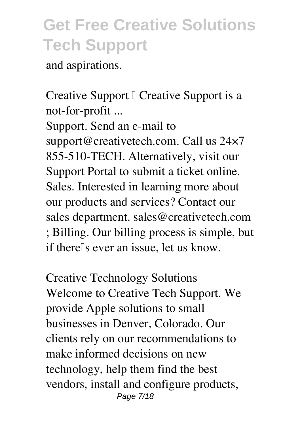and aspirations.

*Creative Support – Creative Support is a not-for-profit ...* Support. Send an e-mail to support@creativetech.com. Call us 24×7 855-510-TECH. Alternatively, visit our Support Portal to submit a ticket online. Sales. Interested in learning more about our products and services? Contact our sales department. sales@creativetech.com ; Billing. Our billing process is simple, but if there<sup>[1]</sup>s ever an issue, let us know.

*Creative Technology Solutions* Welcome to Creative Tech Support. We provide Apple solutions to small businesses in Denver, Colorado. Our clients rely on our recommendations to make informed decisions on new technology, help them find the best vendors, install and configure products, Page 7/18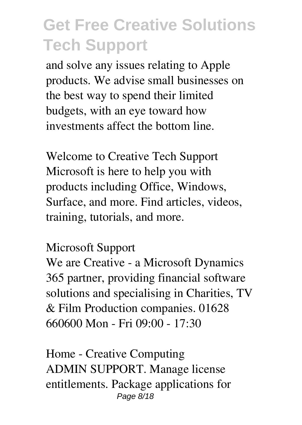and solve any issues relating to Apple products. We advise small businesses on the best way to spend their limited budgets, with an eye toward how investments affect the bottom line.

*Welcome to Creative Tech Support* Microsoft is here to help you with products including Office, Windows, Surface, and more. Find articles, videos, training, tutorials, and more.

#### *Microsoft Support*

We are Creative - a Microsoft Dynamics 365 partner, providing financial software solutions and specialising in Charities, TV & Film Production companies. 01628 660600 Mon - Fri 09:00 - 17:30

*Home - Creative Computing* ADMIN SUPPORT. Manage license entitlements. Package applications for Page 8/18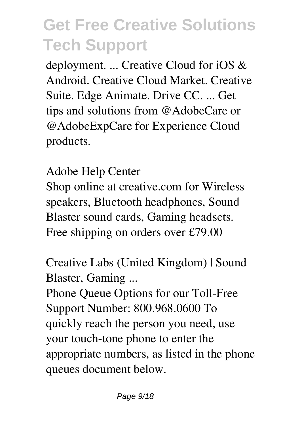deployment. ... Creative Cloud for iOS & Android. Creative Cloud Market. Creative Suite. Edge Animate. Drive CC. ... Get tips and solutions from @AdobeCare or @AdobeExpCare for Experience Cloud products.

*Adobe Help Center*

Shop online at creative.com for Wireless speakers, Bluetooth headphones, Sound Blaster sound cards, Gaming headsets. Free shipping on orders over £79.00

*Creative Labs (United Kingdom) | Sound Blaster, Gaming ...*

Phone Queue Options for our Toll-Free Support Number: 800.968.0600 To quickly reach the person you need, use your touch-tone phone to enter the appropriate numbers, as listed in the phone queues document below.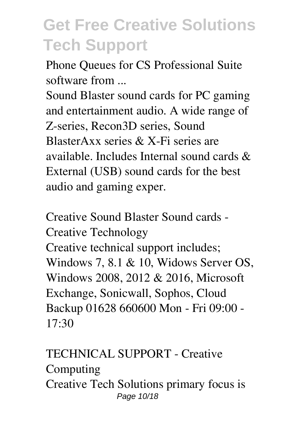*Phone Queues for CS Professional Suite software from ...*

Sound Blaster sound cards for PC gaming and entertainment audio. A wide range of Z-series, Recon3D series, Sound BlasterAxx series & X-Fi series are available. Includes Internal sound cards & External (USB) sound cards for the best audio and gaming exper.

*Creative Sound Blaster Sound cards - Creative Technology* Creative technical support includes; Windows 7, 8.1 & 10, Widows Server OS, Windows 2008, 2012 & 2016, Microsoft Exchange, Sonicwall, Sophos, Cloud Backup 01628 660600 Mon - Fri 09:00 - 17:30

*TECHNICAL SUPPORT - Creative Computing* Creative Tech Solutions primary focus is Page 10/18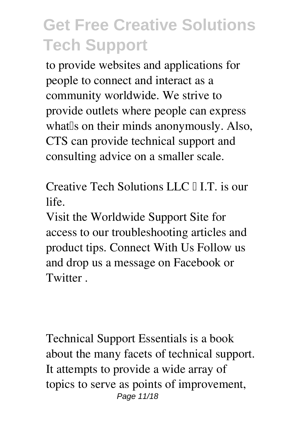to provide websites and applications for people to connect and interact as a community worldwide. We strive to provide outlets where people can express what so on their minds anonymously. Also, CTS can provide technical support and consulting advice on a smaller scale.

*Creative Tech Solutions LLC – I.T. is our life.*

Visit the Worldwide Support Site for access to our troubleshooting articles and product tips. Connect With Us Follow us and drop us a message on Facebook or **Twitter** 

Technical Support Essentials is a book about the many facets of technical support. It attempts to provide a wide array of topics to serve as points of improvement, Page 11/18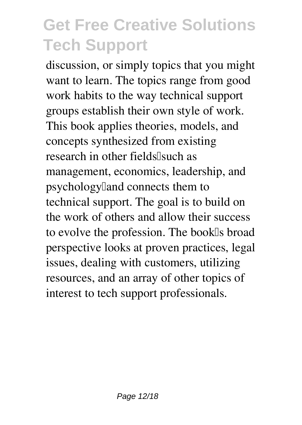discussion, or simply topics that you might want to learn. The topics range from good work habits to the way technical support groups establish their own style of work. This book applies theories, models, and concepts synthesized from existing research in other fields[such as management, economics, leadership, and psychology<sup>[1]</sup> and connects them to technical support. The goal is to build on the work of others and allow their success to evolve the profession. The book<sup>[]</sup>s broad perspective looks at proven practices, legal issues, dealing with customers, utilizing resources, and an array of other topics of interest to tech support professionals.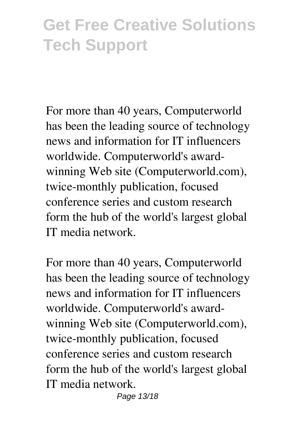For more than 40 years, Computerworld has been the leading source of technology news and information for IT influencers worldwide. Computerworld's awardwinning Web site (Computerworld.com), twice-monthly publication, focused conference series and custom research form the hub of the world's largest global IT media network.

For more than 40 years, Computerworld has been the leading source of technology news and information for IT influencers worldwide. Computerworld's awardwinning Web site (Computerworld.com), twice-monthly publication, focused conference series and custom research form the hub of the world's largest global IT media network.

Page 13/18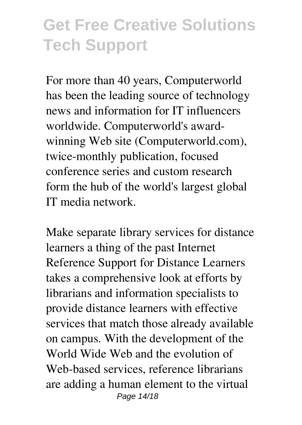For more than 40 years, Computerworld has been the leading source of technology news and information for IT influencers worldwide. Computerworld's awardwinning Web site (Computerworld.com), twice-monthly publication, focused conference series and custom research form the hub of the world's largest global IT media network.

Make separate library services for distance learners a thing of the past Internet Reference Support for Distance Learners takes a comprehensive look at efforts by librarians and information specialists to provide distance learners with effective services that match those already available on campus. With the development of the World Wide Web and the evolution of Web-based services, reference librarians are adding a human element to the virtual Page 14/18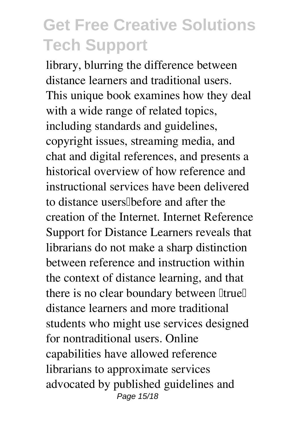library, blurring the difference between distance learners and traditional users. This unique book examines how they deal with a wide range of related topics, including standards and guidelines, copyright issues, streaming media, and chat and digital references, and presents a historical overview of how reference and instructional services have been delivered to distance users before and after the creation of the Internet. Internet Reference Support for Distance Learners reveals that librarians do not make a sharp distinction between reference and instruction within the context of distance learning, and that there is no clear boundary between  $I$ true $I$ distance learners and more traditional students who might use services designed for nontraditional users. Online capabilities have allowed reference librarians to approximate services advocated by published guidelines and Page 15/18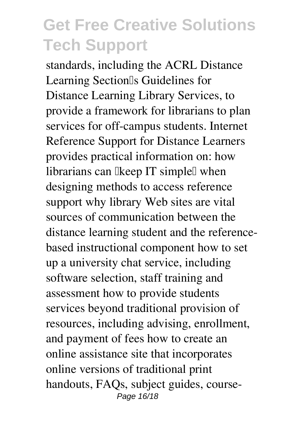standards, including the ACRL Distance Learning Section<sup>Is</sup> Guidelines for Distance Learning Library Services, to provide a framework for librarians to plan services for off-campus students. Internet Reference Support for Distance Learners provides practical information on: how librarians can likeep IT simplel when designing methods to access reference support why library Web sites are vital sources of communication between the distance learning student and the referencebased instructional component how to set up a university chat service, including software selection, staff training and assessment how to provide students services beyond traditional provision of resources, including advising, enrollment, and payment of fees how to create an online assistance site that incorporates online versions of traditional print handouts, FAQs, subject guides, course-Page 16/18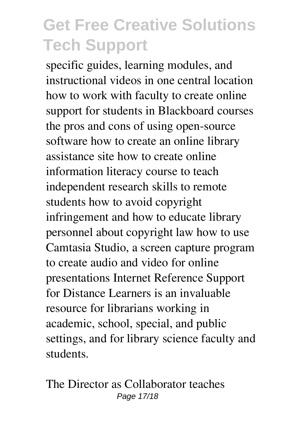specific guides, learning modules, and instructional videos in one central location how to work with faculty to create online support for students in Blackboard courses the pros and cons of using open-source software how to create an online library assistance site how to create online information literacy course to teach independent research skills to remote students how to avoid copyright infringement and how to educate library personnel about copyright law how to use Camtasia Studio, a screen capture program to create audio and video for online presentations Internet Reference Support for Distance Learners is an invaluable resource for librarians working in academic, school, special, and public settings, and for library science faculty and students.

The Director as Collaborator teaches Page 17/18